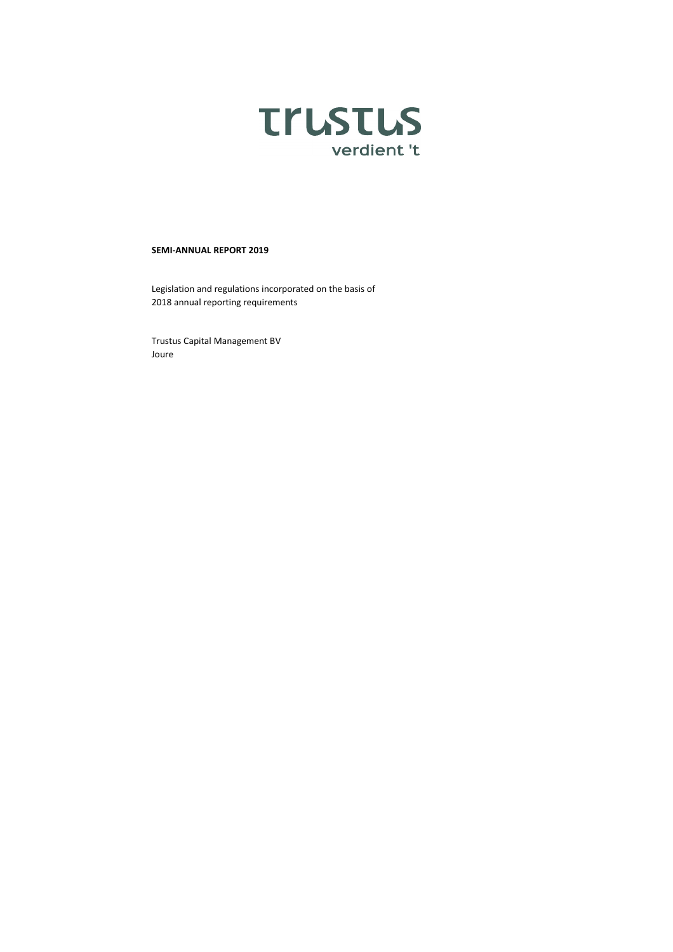

### **SEMI-ANNUAL REPORT 2019**

Legislation and regulations incorporated on the basis of 2018 annual reporting requirements

Trustus Capital Management BV Joure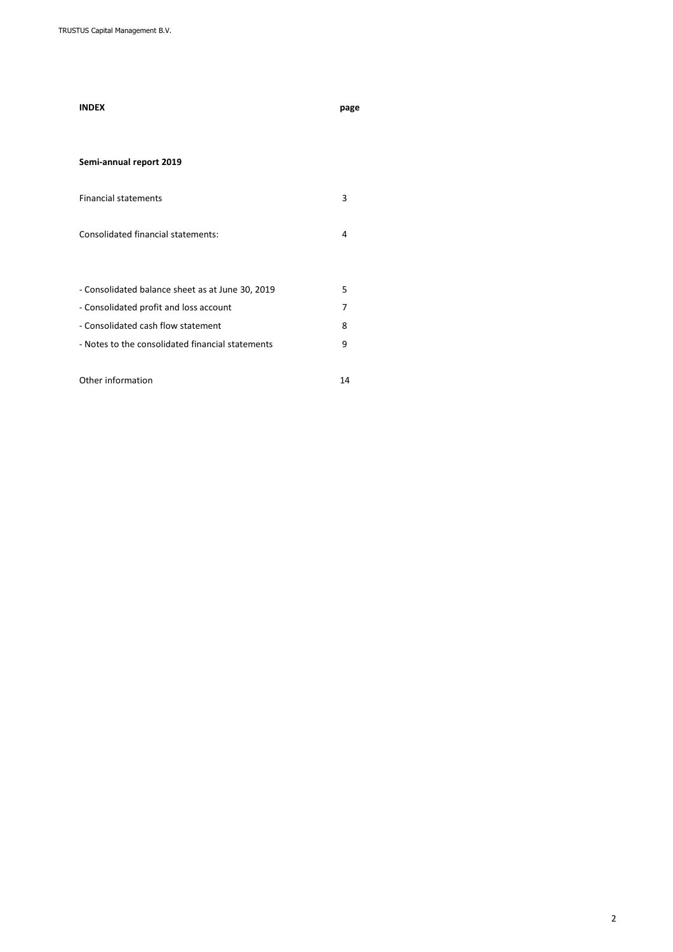| <b>INDEX</b>                                     | page |
|--------------------------------------------------|------|
|                                                  |      |
| Semi-annual report 2019                          |      |
| <b>Financial statements</b>                      | 3    |
| <b>Consolidated financial statements:</b>        | 4    |
|                                                  |      |
| - Consolidated balance sheet as at June 30, 2019 | 5    |
| - Consolidated profit and loss account           | 7    |
| - Consolidated cash flow statement               | 8    |
| - Notes to the consolidated financial statements | 9    |
| Other information                                | 14   |
|                                                  |      |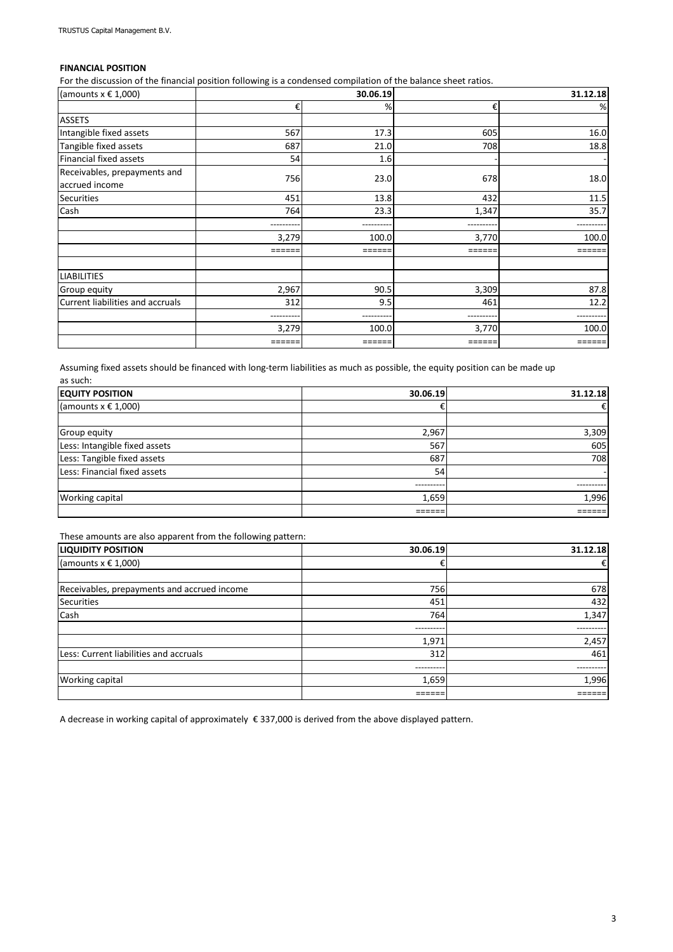# **FINANCIAL POSITION**

For the discussion of the financial position following is a condensed compilation of the balance sheet ratios.

| (amounts $x \in 1,000$ )                       | 30.06.19 |       |        | 31.12.18 |  |
|------------------------------------------------|----------|-------|--------|----------|--|
|                                                | €        | %     | €      | %        |  |
| <b>ASSETS</b>                                  |          |       |        |          |  |
| Intangible fixed assets                        | 567      | 17.3  | 605    | 16.0     |  |
| Tangible fixed assets                          | 687      | 21.0  | 708    | 18.8     |  |
| Financial fixed assets                         | 54       | 1.6   |        |          |  |
| Receivables, prepayments and<br>accrued income | 756      | 23.0  | 678    | 18.0     |  |
| <b>Securities</b>                              | 451      | 13.8  | 432    | 11.5     |  |
| Cash                                           | 764      | 23.3  | 1,347  | 35.7     |  |
|                                                |          |       |        |          |  |
|                                                | 3,279    | 100.0 | 3,770  | 100.0    |  |
|                                                | ======   |       |        |          |  |
| <b>LIABILITIES</b>                             |          |       |        |          |  |
| Group equity                                   | 2,967    | 90.5  | 3,309  | 87.8     |  |
| Current liabilities and accruals               | 312      | 9.5   | 461    | 12.2     |  |
|                                                |          |       | .      |          |  |
|                                                | 3,279    | 100.0 | 3,770  | 100.0    |  |
|                                                | ======   |       | =====: |          |  |

Assuming fixed assets should be financed with long-term liabilities as much as possible, the equity position can be made up as such:

| <b>EQUITY POSITION</b>        | 30.06.19   | 31.12.18 |
|-------------------------------|------------|----------|
| (amounts $x \in 1,000$ )      |            | €        |
|                               |            |          |
| Group equity                  | 2,967      | 3,309    |
| Less: Intangible fixed assets | 567        | 605      |
| Less: Tangible fixed assets   | 687        | 708      |
| Less: Financial fixed assets  | 54         |          |
|                               | ---------- | -------- |
| Working capital               | 1,659      | 1,996    |
|                               |            |          |

These amounts are also apparent from the following pattern:

| <b>LIQUIDITY POSITION</b>                   | 30.06.19   | 31.12.18  |
|---------------------------------------------|------------|-----------|
| (amounts $x \in 1,000$ )                    | €          | €         |
|                                             |            |           |
| Receivables, prepayments and accrued income | 756        | 678       |
| <b>Securities</b>                           | 451        | 432       |
| Cash                                        | 764        | 1,347     |
|                                             | ---------  | --------- |
|                                             | 1,971      | 2,457     |
| Less: Current liabilities and accruals      | 312        | 461       |
|                                             | ---------- | --------- |
| Working capital                             | 1,659      | 1,996     |
|                                             |            |           |

A decrease in working capital of approximately € 337,000 is derived from the above displayed pattern.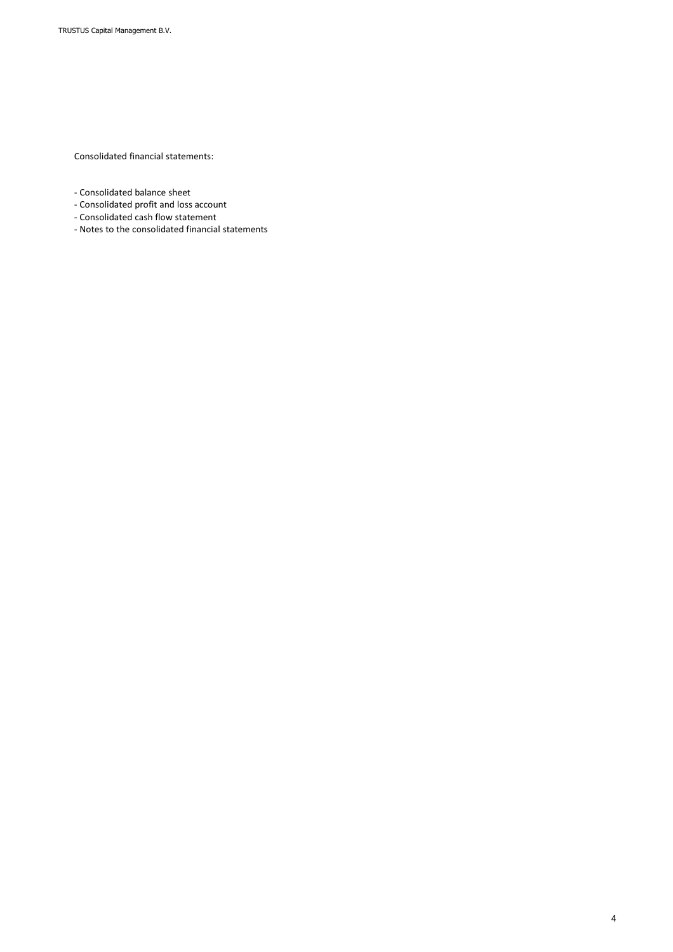Consolidated financial statements:

- Consolidated balance sheet
- Consolidated profit and loss account
- Consolidated cash flow statement
- Notes to the consolidated financial statements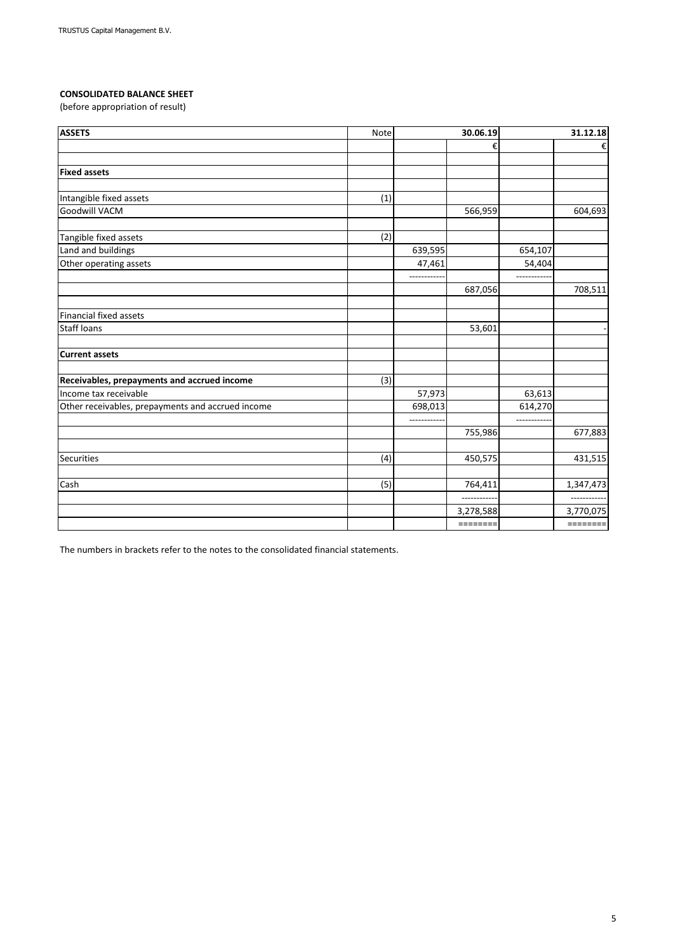# **CONSOLIDATED BALANCE SHEET**

(before appropriation of result)

| <b>ASSETS</b>                                     | Note | 30.06.19   |                       | 31.12.18    |           |
|---------------------------------------------------|------|------------|-----------------------|-------------|-----------|
|                                                   |      |            | €                     |             | €         |
|                                                   |      |            |                       |             |           |
| <b>Fixed assets</b>                               |      |            |                       |             |           |
|                                                   |      |            |                       |             |           |
| Intangible fixed assets                           | (1)  |            |                       |             |           |
| Goodwill VACM                                     |      |            | 566,959               |             | 604,693   |
| Tangible fixed assets                             | (2)  |            |                       |             |           |
| Land and buildings                                |      | 639,595    |                       | 654,107     |           |
| Other operating assets                            |      | 47,461     |                       | 54,404      |           |
|                                                   |      | ---------- | 687,056               | ----------- | 708,511   |
| <b>Financial fixed assets</b>                     |      |            |                       |             |           |
| <b>Staff loans</b>                                |      |            | 53,601                |             |           |
| <b>Current assets</b>                             |      |            |                       |             |           |
| Receivables, prepayments and accrued income       | (3)  |            |                       |             |           |
| Income tax receivable                             |      | 57,973     |                       | 63,613      |           |
| Other receivables, prepayments and accrued income |      | 698,013    |                       | 614,270     |           |
|                                                   |      |            |                       |             |           |
|                                                   |      |            | 755,986               |             | 677,883   |
| <b>Securities</b>                                 | (4)  |            | 450,575               |             | 431,515   |
|                                                   |      |            |                       |             |           |
| Cash                                              | (5)  |            | 764,411<br>---------- |             | 1,347,473 |
|                                                   |      |            | 3,278,588             |             | 3,770,075 |
|                                                   |      |            | $=$ =======           |             | ========  |

The numbers in brackets refer to the notes to the consolidated financial statements.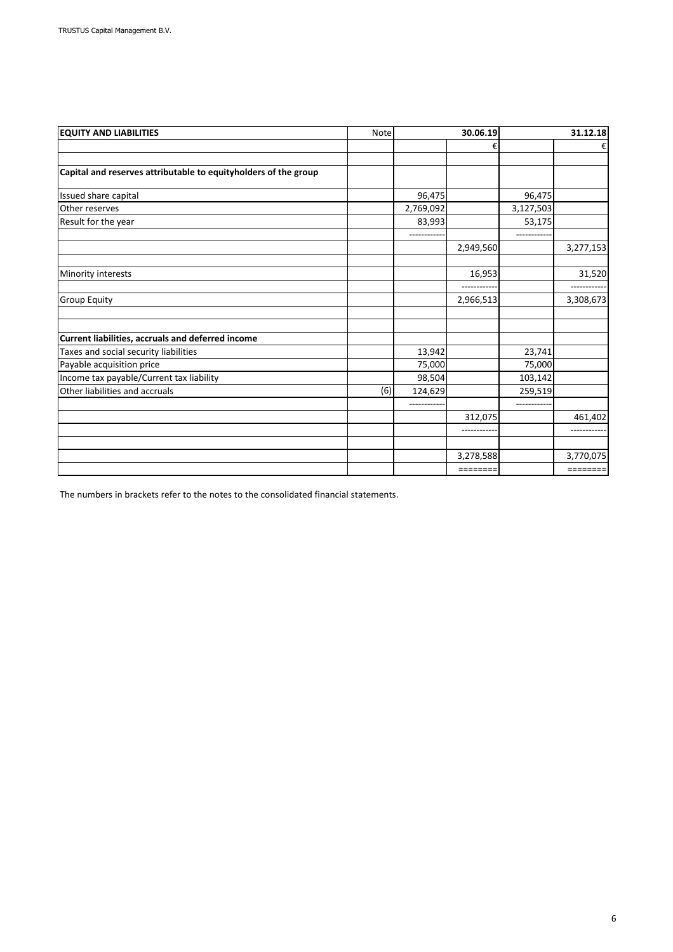| <b>EQUITY AND LIABILITIES</b>                                   | Note |           | 30.06.19  |             | 31.12.18  |  |
|-----------------------------------------------------------------|------|-----------|-----------|-------------|-----------|--|
|                                                                 |      |           | €         |             | €         |  |
| Capital and reserves attributable to equityholders of the group |      |           |           |             |           |  |
| Issued share capital                                            |      | 96,475    |           | 96,475      |           |  |
| Other reserves                                                  |      | 2,769,092 |           | 3,127,503   |           |  |
| Result for the year                                             |      | 83,993    |           | 53,175      |           |  |
|                                                                 |      |           | 2,949,560 |             | 3,277,153 |  |
| Minority interests                                              |      |           | 16,953    |             | 31,520    |  |
| <b>Group Equity</b>                                             |      |           | 2,966,513 |             | 3,308,673 |  |
| Current liabilities, accruals and deferred income               |      |           |           |             |           |  |
| Taxes and social security liabilities                           |      | 13,942    |           | 23,741      |           |  |
| Payable acquisition price                                       |      | 75,000    |           | 75,000      |           |  |
| Income tax payable/Current tax liability                        |      | 98,504    |           | 103,142     |           |  |
| Other liabilities and accruals                                  | (6)  | 124,629   |           | 259,519     |           |  |
|                                                                 |      |           | 312,075   | ----------- | 461,402   |  |
|                                                                 |      |           |           |             |           |  |
|                                                                 |      |           |           |             |           |  |
|                                                                 |      |           | 3,278,588 |             | 3,770,075 |  |
|                                                                 |      |           | ========  |             | ========  |  |

The numbers in brackets refer to the notes to the consolidated financial statements.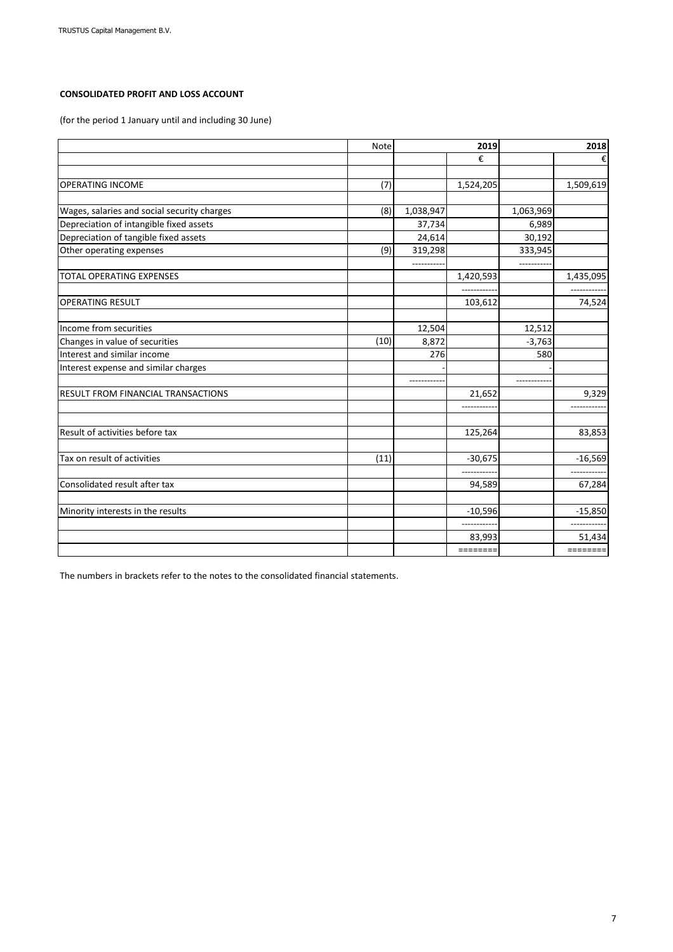# **CONSOLIDATED PROFIT AND LOSS ACCOUNT**

(for the period 1 January until and including 30 June)

|                                             | Note | 2019      |           | 2018       |           |
|---------------------------------------------|------|-----------|-----------|------------|-----------|
|                                             |      |           | €         |            | €         |
|                                             |      |           |           |            |           |
| <b>OPERATING INCOME</b>                     | (7)  |           | 1,524,205 |            | 1,509,619 |
|                                             |      |           |           |            |           |
| Wages, salaries and social security charges | (8)  | 1,038,947 |           | 1,063,969  |           |
| Depreciation of intangible fixed assets     |      | 37,734    |           | 6,989      |           |
| Depreciation of tangible fixed assets       |      | 24,614    |           | 30,192     |           |
| Other operating expenses                    | (9)  | 319,298   |           | 333,945    |           |
|                                             |      |           |           | -------    |           |
| TOTAL OPERATING EXPENSES                    |      |           | 1,420,593 |            | 1,435,095 |
|                                             |      |           |           |            |           |
| <b>OPERATING RESULT</b>                     |      |           | 103,612   |            | 74,524    |
|                                             |      |           |           |            |           |
| Income from securities                      |      | 12,504    |           | 12,512     |           |
| Changes in value of securities              | (10) | 8,872     |           | $-3,763$   |           |
| Interest and similar income                 |      | 276       |           | 580        |           |
| Interest expense and similar charges        |      |           |           |            |           |
|                                             |      |           |           | ---------- |           |
| <b>RESULT FROM FINANCIAL TRANSACTIONS</b>   |      |           | 21,652    |            | 9,329     |
|                                             |      |           |           |            |           |
|                                             |      |           |           |            |           |
| Result of activities before tax             |      |           | 125,264   |            | 83,853    |
|                                             |      |           |           |            |           |
| Tax on result of activities                 | (11) |           | $-30,675$ |            | $-16,569$ |
|                                             |      |           |           |            |           |
| Consolidated result after tax               |      |           | 94,589    |            | 67,284    |
|                                             |      |           |           |            |           |
| Minority interests in the results           |      |           | $-10,596$ |            | $-15,850$ |
|                                             |      |           |           |            |           |
|                                             |      |           | 83,993    |            | 51,434    |
|                                             |      |           | ========  |            | ========  |

The numbers in brackets refer to the notes to the consolidated financial statements.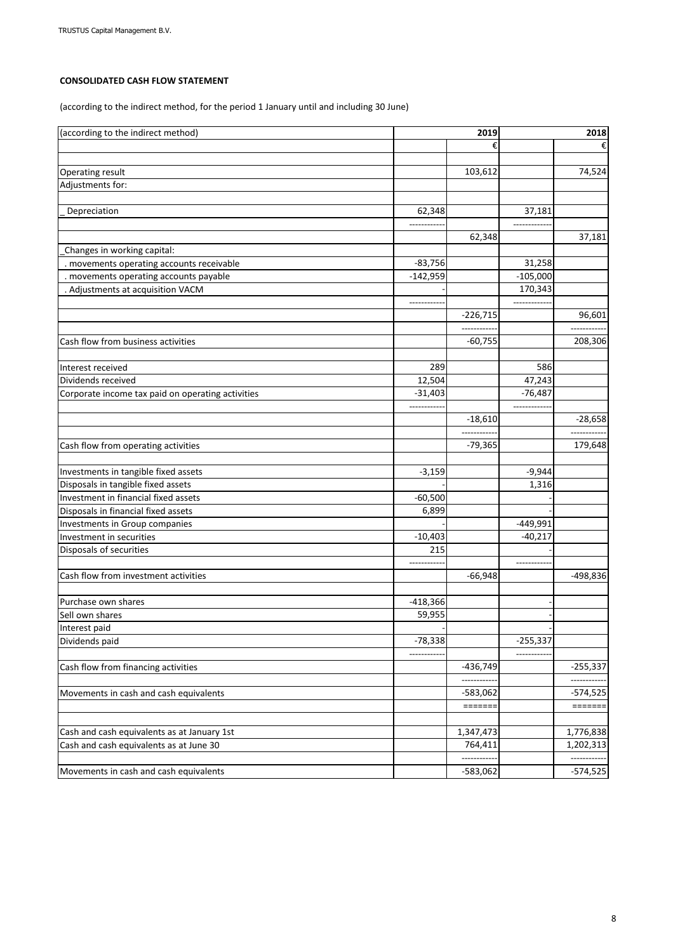## **CONSOLIDATED CASH FLOW STATEMENT**

(according to the indirect method, for the period 1 January until and including 30 June)

| (according to the indirect method)<br>2019        |             | 2018                    |            |            |
|---------------------------------------------------|-------------|-------------------------|------------|------------|
|                                                   |             | €                       |            |            |
|                                                   |             |                         |            |            |
| Operating result                                  |             | 103,612                 |            | 74,524     |
| Adjustments for:                                  |             |                         |            |            |
| Depreciation                                      | 62,348      |                         | 37,181     |            |
|                                                   |             |                         |            |            |
|                                                   |             | 62,348                  |            | 37,181     |
| Changes in working capital:                       |             |                         |            |            |
| . movements operating accounts receivable         | $-83,756$   |                         | 31,258     |            |
| . movements operating accounts payable            | $-142,959$  |                         | $-105,000$ |            |
| . Adjustments at acquisition VACM                 |             |                         | 170,343    |            |
|                                                   | ----------- |                         |            |            |
|                                                   |             | $-226,715$              |            | 96,601     |
|                                                   |             |                         |            |            |
| Cash flow from business activities                |             | $-60,755$               |            | 208,306    |
|                                                   |             |                         |            |            |
| Interest received                                 | 289         |                         | 586        |            |
| Dividends received                                | 12,504      |                         | 47,243     |            |
| Corporate income tax paid on operating activities | $-31,403$   |                         | $-76,487$  |            |
|                                                   |             |                         | $---$      |            |
|                                                   |             | $-18,610$<br>---------  |            | $-28,658$  |
|                                                   |             | $-79,365$               |            |            |
| Cash flow from operating activities               |             |                         |            | 179,648    |
| Investments in tangible fixed assets              | $-3,159$    |                         | $-9,944$   |            |
| Disposals in tangible fixed assets                |             |                         | 1,316      |            |
| Investment in financial fixed assets              | $-60,500$   |                         |            |            |
| Disposals in financial fixed assets               | 6,899       |                         |            |            |
| Investments in Group companies                    |             |                         | -449,991   |            |
| Investment in securities                          | $-10,403$   |                         | $-40,217$  |            |
| Disposals of securities                           | 215         |                         |            |            |
|                                                   |             |                         |            |            |
| Cash flow from investment activities              |             | $-66,948$               |            | -498,836   |
|                                                   |             |                         |            |            |
| Purchase own shares                               | $-418,366$  |                         |            |            |
| Sell own shares                                   | 59,955      |                         |            |            |
| Interest paid                                     |             |                         |            |            |
| Dividends paid                                    | $-78,338$   |                         | $-255,337$ |            |
|                                                   |             |                         |            |            |
| Cash flow from financing activities               |             | $-436,749$              |            | $-255,337$ |
|                                                   |             | ---------               |            | ---------  |
| Movements in cash and cash equivalents            |             | $-583,062$              |            | $-574,525$ |
|                                                   |             | $=$ $=$ $=$ $=$ $=$ $=$ |            | $======$   |
|                                                   |             |                         |            |            |
| Cash and cash equivalents as at January 1st       |             | 1,347,473<br>764,411    |            | 1,776,838  |
| Cash and cash equivalents as at June 30           |             |                         |            | 1,202,313  |
| Movements in cash and cash equivalents            |             |                         |            | $-574,525$ |
|                                                   |             | $-583,062$              |            |            |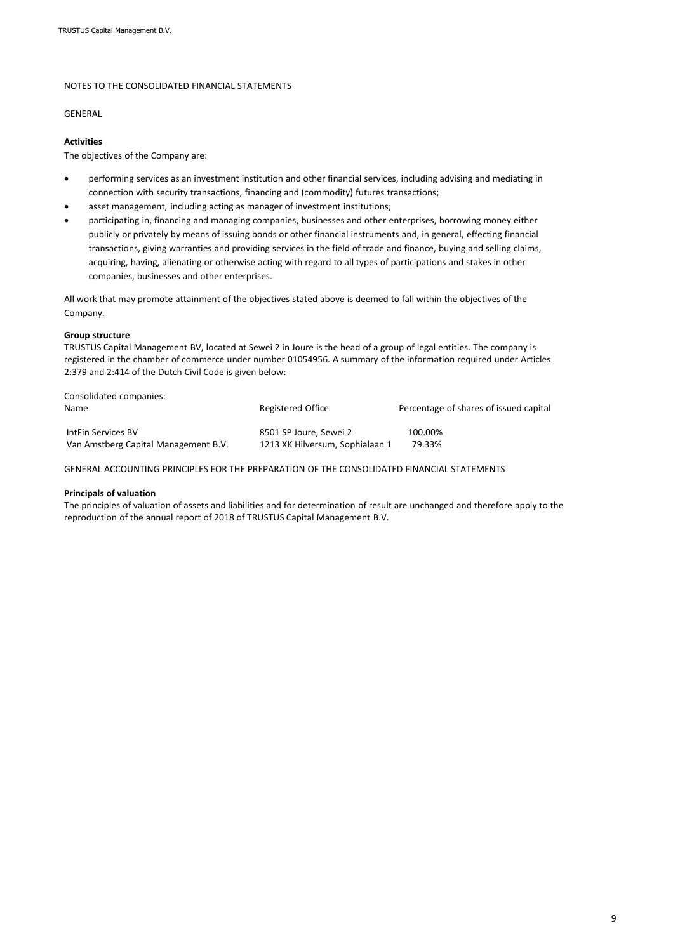### NOTES TO THE CONSOLIDATED FINANCIAL STATEMENTS

#### GENERAL

### **Activities**

The objectives of the Company are:

- performing services as an investment institution and other financial services, including advising and mediating in connection with security transactions, financing and (commodity) futures transactions;
- asset management, including acting as manager of investment institutions;
- participating in, financing and managing companies, businesses and other enterprises, borrowing money either publicly or privately by means of issuing bonds or other financial instruments and, in general, effecting financial transactions, giving warranties and providing services in the field of trade and finance, buying and selling claims, acquiring, having, alienating or otherwise acting with regard to all types of participations and stakes in other companies, businesses and other enterprises.

All work that may promote attainment of the objectives stated above is deemed to fall within the objectives of the Company.

### **Group structure**

TRUSTUS Capital Management BV, located at Sewei 2 in Joure is the head of a group of legal entities. The company is registered in the chamber of commerce under number 01054956. A summary of the information required under Articles 2:379 and 2:414 of the Dutch Civil Code is given below:

| Consolidated companies:              |                                 |                                        |
|--------------------------------------|---------------------------------|----------------------------------------|
| Name                                 | Registered Office               | Percentage of shares of issued capital |
| IntFin Services BV                   | 8501 SP Joure, Sewei 2          | 100.00%                                |
| Van Amstberg Capital Management B.V. | 1213 XK Hilversum, Sophialaan 1 | 79.33%                                 |

GENERAL ACCOUNTING PRINCIPLES FOR THE PREPARATION OF THE CONSOLIDATED FINANCIAL STATEMENTS

#### **Principals of valuation**

The principles of valuation of assets and liabilities and for determination of result are unchanged and therefore apply to the reproduction of the annual report of 2018 of TRUSTUS Capital Management B.V.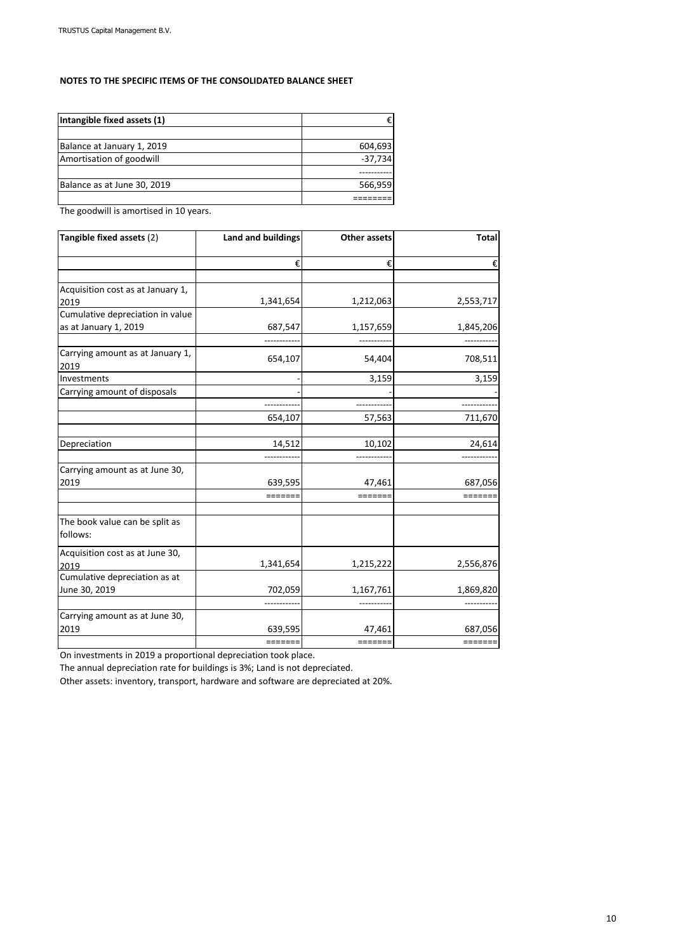## **NOTES TO THE SPECIFIC ITEMS OF THE CONSOLIDATED BALANCE SHEET**

| Intangible fixed assets (1) |           |
|-----------------------------|-----------|
|                             |           |
| Balance at January 1, 2019  | 604,693   |
| Amortisation of goodwill    | $-37,734$ |
|                             |           |
| Balance as at June 30, 2019 | 566,959   |
|                             |           |

The goodwill is amortised in 10 years.

| Tangible fixed assets (2)               | <b>Land and buildings</b> | <b>Other assets</b> | <b>Total</b>                                                     |
|-----------------------------------------|---------------------------|---------------------|------------------------------------------------------------------|
|                                         | €                         | €                   | €                                                                |
| Acquisition cost as at January 1,       |                           |                     |                                                                  |
| 2019                                    | 1,341,654                 | 1,212,063           | 2,553,717                                                        |
| Cumulative depreciation in value        |                           |                     |                                                                  |
| as at January 1, 2019                   | 687,547                   | 1,157,659           | 1,845,206                                                        |
| Carrying amount as at January 1,        |                           |                     |                                                                  |
| 2019                                    | 654,107                   | 54,404              | 708,511                                                          |
| Investments                             |                           | 3,159               | 3,159                                                            |
| Carrying amount of disposals            |                           |                     |                                                                  |
|                                         |                           |                     |                                                                  |
|                                         | 654,107                   | 57,563              | 711,670                                                          |
| Depreciation                            | 14,512                    | 10,102              | 24,614                                                           |
|                                         |                           |                     |                                                                  |
| Carrying amount as at June 30,          |                           |                     |                                                                  |
| 2019                                    | 639,595                   | 47,461              | 687,056                                                          |
|                                         | =======                   | =======             | =======                                                          |
| The book value can be split as          |                           |                     |                                                                  |
| follows:                                |                           |                     |                                                                  |
| Acquisition cost as at June 30,<br>2019 | 1,341,654                 | 1,215,222           | 2,556,876                                                        |
| Cumulative depreciation as at           |                           |                     |                                                                  |
| June 30, 2019                           | 702,059                   | 1,167,761           | 1,869,820                                                        |
|                                         |                           |                     |                                                                  |
| Carrying amount as at June 30,          |                           |                     |                                                                  |
| 2019                                    | 639,595                   | 47,461              | 687,056                                                          |
|                                         | =======                   | $=======$           | $\qquad \qquad \equiv \equiv \equiv \equiv \equiv \equiv \equiv$ |

On investments in 2019 a proportional depreciation took place.

The annual depreciation rate for buildings is 3%; Land is not depreciated.

Other assets: inventory, transport, hardware and software are depreciated at 20%.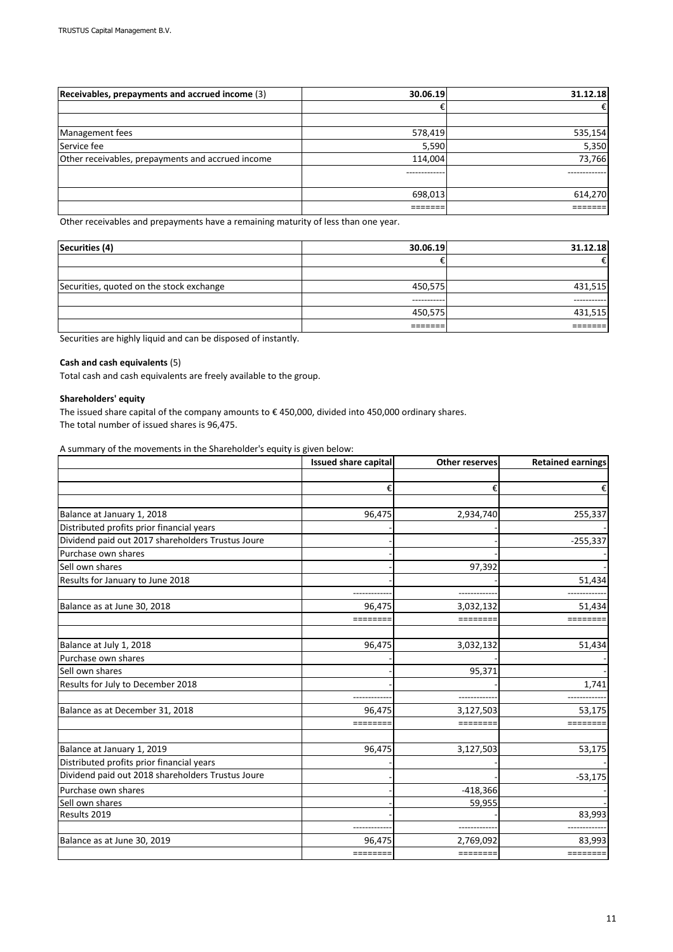| Receivables, prepayments and accrued income (3)   | 30.06.19 | 31.12.18 |
|---------------------------------------------------|----------|----------|
|                                                   | €        | €        |
|                                                   |          |          |
| Management fees                                   | 578,419  | 535,154  |
| Service fee                                       | 5,590    | 5,350    |
| Other receivables, prepayments and accrued income | 114,004  | 73,766   |
|                                                   |          |          |
|                                                   |          |          |
|                                                   | 698,013  | 614,270  |
|                                                   |          |          |

Other receivables and prepayments have a remaining maturity of less than one year.

| Securities (4)                           | 30.06.19    | 31.12.18   |
|------------------------------------------|-------------|------------|
|                                          |             | €          |
|                                          |             |            |
| Securities, quoted on the stock exchange | 450,575     | 431,515    |
|                                          | ----------- | ---------- |
|                                          | 450,575     | 431,515    |
|                                          |             |            |

Securities are highly liquid and can be disposed of instantly.

### **Cash and cash equivalents** (5)

Total cash and cash equivalents are freely available to the group.

#### **Shareholders' equity**

The issued share capital of the company amounts to € 450,000, divided into 450,000 ordinary shares. The total number of issued shares is 96,475.

A summary of the movements in the Shareholder's equity is given below:

|                                                   | <b>Issued share capital</b> | <b>Other reserves</b> | <b>Retained earnings</b>    |
|---------------------------------------------------|-----------------------------|-----------------------|-----------------------------|
|                                                   |                             |                       |                             |
|                                                   | €                           | €                     | €                           |
|                                                   |                             |                       |                             |
| Balance at January 1, 2018                        | 96,475                      | 2,934,740             | 255,337                     |
| Distributed profits prior financial years         |                             |                       |                             |
| Dividend paid out 2017 shareholders Trustus Joure |                             |                       | $-255,337$                  |
| Purchase own shares                               |                             |                       |                             |
| Sell own shares                                   |                             | 97,392                |                             |
| Results for January to June 2018                  |                             |                       | 51,434                      |
|                                                   |                             |                       |                             |
| Balance as at June 30, 2018                       | 96,475                      | 3,032,132             | 51,434                      |
|                                                   | ========                    | =======               | $=$ $=$ $=$ $=$ $=$ $=$ $=$ |
|                                                   |                             |                       |                             |
| Balance at July 1, 2018                           | 96,475                      | 3,032,132             | 51,434                      |
| Purchase own shares                               |                             |                       |                             |
| Sell own shares                                   |                             | 95,371                |                             |
| Results for July to December 2018                 |                             |                       | 1,741                       |
|                                                   |                             |                       |                             |
| Balance as at December 31, 2018                   | 96,475                      | 3,127,503             | 53,175                      |
|                                                   | ========                    | =======               |                             |
|                                                   |                             |                       |                             |
| Balance at January 1, 2019                        | 96,475                      | 3,127,503             | 53,175                      |
| Distributed profits prior financial years         |                             |                       |                             |
| Dividend paid out 2018 shareholders Trustus Joure |                             |                       | $-53,175$                   |
| Purchase own shares                               |                             | $-418,366$            |                             |
| Sell own shares                                   |                             | 59,955                |                             |
| Results 2019                                      |                             |                       | 83,993                      |
|                                                   |                             |                       |                             |
| Balance as at June 30, 2019                       | 96,475                      | 2,769,092             | 83,993                      |
|                                                   | ========                    | ========              | $=$ =======                 |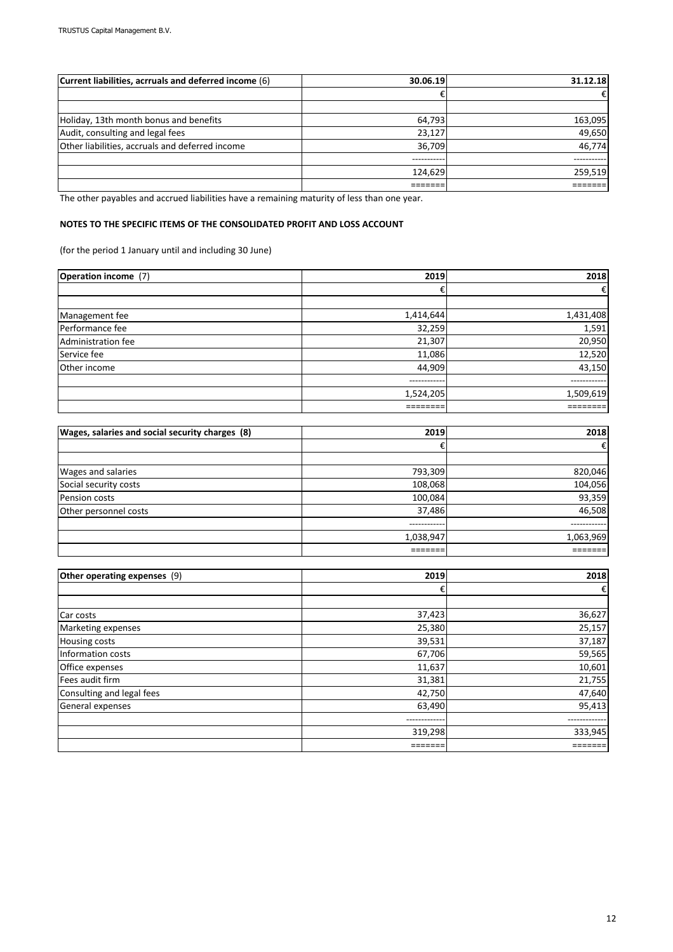| Current liabilities, acrruals and deferred income (6) | 30.06.19   | 31.12.18 |
|-------------------------------------------------------|------------|----------|
|                                                       |            | €        |
|                                                       |            |          |
| Holiday, 13th month bonus and benefits                | 64,793     | 163,095  |
| Audit, consulting and legal fees                      | 23,127     | 49,650   |
| Other liabilities, accruals and deferred income       | 36,709     | 46,774   |
|                                                       | ---------- |          |
|                                                       | 124,629    | 259,519  |
|                                                       |            |          |

The other payables and accrued liabilities have a remaining maturity of less than one year.

## **NOTES TO THE SPECIFIC ITEMS OF THE CONSOLIDATED PROFIT AND LOSS ACCOUNT**

(for the period 1 January until and including 30 June)

| <b>Operation income</b> (7) | 2019         | 2018         |
|-----------------------------|--------------|--------------|
|                             | €            | €            |
|                             |              |              |
| Management fee              | 1,414,644    | 1,431,408    |
| Performance fee             | 32,259       | 1,591        |
| Administration fee          | 21,307       | 20,950       |
| Service fee                 | 11,086       | 12,520       |
| Other income                | 44,909       | 43,150       |
|                             | ------------ | ------------ |
|                             | 1,524,205    | 1,509,619    |
|                             |              |              |

| Wages, salaries and social security charges (8) | 2019      | 2018      |
|-------------------------------------------------|-----------|-----------|
|                                                 |           | €         |
|                                                 |           |           |
| <b>Wages and salaries</b>                       | 793,309   | 820,046   |
| Social security costs                           | 108,068   | 104,056   |
| Pension costs                                   | 100,084   | 93,359    |
| Other personnel costs                           | 37,486    | 46,508    |
|                                                 |           |           |
|                                                 | 1,038,947 | 1,063,969 |
|                                                 |           |           |

| Other operating expenses (9) | 2019    | 2018    |
|------------------------------|---------|---------|
|                              | €       |         |
|                              |         |         |
| Car costs                    | 37,423  | 36,627  |
| Marketing expenses           | 25,380  | 25,157  |
| <b>Housing costs</b>         | 39,531  | 37,187  |
| Information costs            | 67,706  | 59,565  |
| Office expenses              | 11,637  | 10,601  |
| Fees audit firm              | 31,381  | 21,755  |
| Consulting and legal fees    | 42,750  | 47,640  |
| General expenses             | 63,490  | 95,413  |
|                              |         |         |
|                              | 319,298 | 333,945 |
|                              |         |         |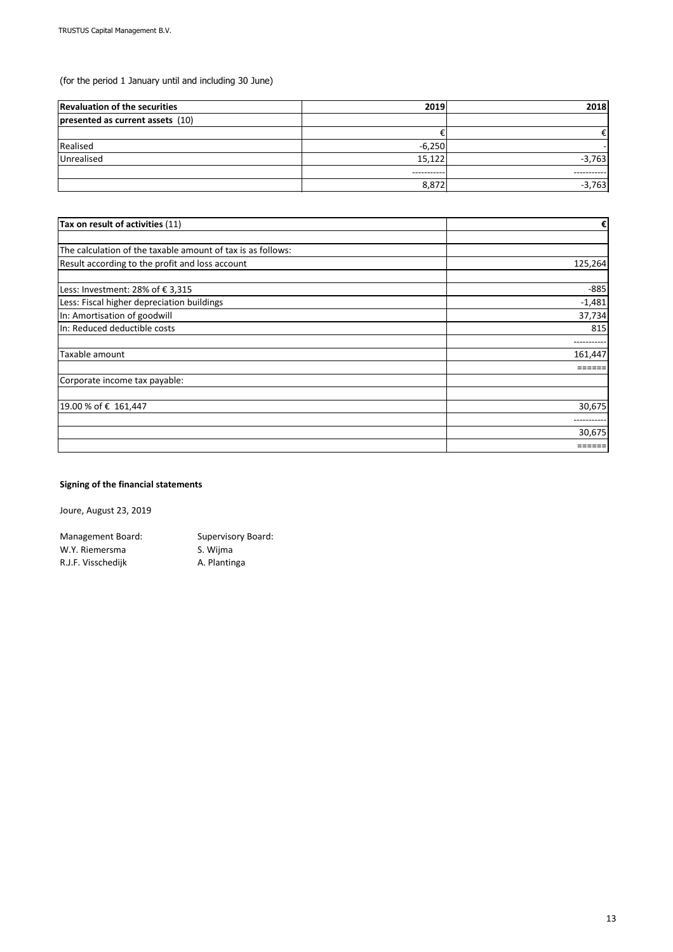(for the period 1 January until and including 30 June)

| <b>Revaluation of the securities</b> | 2019        | 2018        |
|--------------------------------------|-------------|-------------|
| presented as current assets (10)     |             |             |
|                                      |             |             |
| Realised                             | $-6,250$    |             |
| Unrealised                           | 15,122      | $-3,763$    |
|                                      | ----------- | ----------- |
|                                      | 8,872       | $-3,763$    |

| Tax on result of activities (11)                            | €        |
|-------------------------------------------------------------|----------|
|                                                             |          |
| The calculation of the taxable amount of tax is as follows: |          |
| Result according to the profit and loss account             | 125,264  |
| Less: Investment: 28% of €3,315                             | $-885$   |
| Less: Fiscal higher depreciation buildings                  | $-1,481$ |
| In: Amortisation of goodwill                                | 37,734   |
| In: Reduced deductible costs                                | 815      |
|                                                             |          |
| Taxable amount                                              | 161,447  |
|                                                             |          |
| Corporate income tax payable:                               |          |
| 19.00 % of € 161,447                                        | 30,675   |
|                                                             |          |
|                                                             | 30,675   |
|                                                             | ====     |

## **Signing of the financial statements**

Joure, August 23, 2019

Management Board: Supervisory Board: W.Y. Riemersma<br>
S. Wijma R.J.F. Visschedijk Mantinga